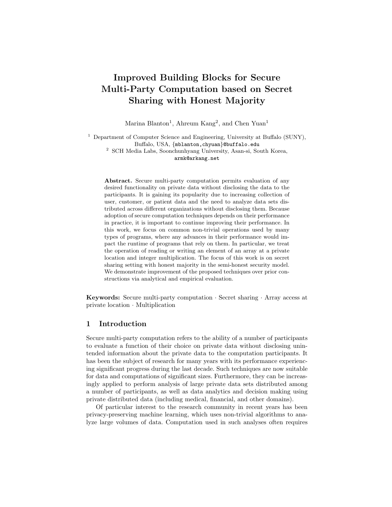# Improved Building Blocks for Secure Multi-Party Computation based on Secret Sharing with Honest Majority

Marina Blanton<sup>1</sup>, Ahreum Kang<sup>2</sup>, and Chen Yuan<sup>1</sup>

<sup>1</sup> Department of Computer Science and Engineering, University at Buffalo (SUNY), Buffalo, USA, {mblanton,chyuan}@buffalo.edu <sup>2</sup> SCH Media Labs, Soonchunhyang University, Asan-si, South Korea, armk@arkang.net

Abstract. Secure multi-party computation permits evaluation of any desired functionality on private data without disclosing the data to the participants. It is gaining its popularity due to increasing collection of user, customer, or patient data and the need to analyze data sets distributed across different organizations without disclosing them. Because adoption of secure computation techniques depends on their performance in practice, it is important to continue improving their performance. In this work, we focus on common non-trivial operations used by many types of programs, where any advances in their performance would impact the runtime of programs that rely on them. In particular, we treat the operation of reading or writing an element of an array at a private location and integer multiplication. The focus of this work is on secret sharing setting with honest majority in the semi-honest security model. We demonstrate improvement of the proposed techniques over prior constructions via analytical and empirical evaluation.

Keywords: Secure multi-party computation · Secret sharing · Array access at private location · Multiplication

# 1 Introduction

Secure multi-party computation refers to the ability of a number of participants to evaluate a function of their choice on private data without disclosing unintended information about the private data to the computation participants. It has been the subject of research for many years with its performance experiencing significant progress during the last decade. Such techniques are now suitable for data and computations of significant sizes. Furthermore, they can be increasingly applied to perform analysis of large private data sets distributed among a number of participants, as well as data analytics and decision making using private distributed data (including medical, financial, and other domains).

Of particular interest to the research community in recent years has been privacy-preserving machine learning, which uses non-trivial algorithms to analyze large volumes of data. Computation used in such analyses often requires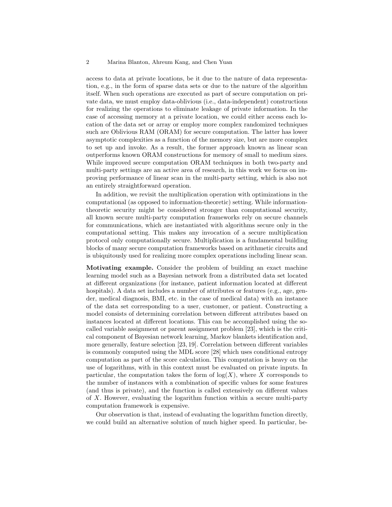#### 2 Marina Blanton, Ahreum Kang, and Chen Yuan

access to data at private locations, be it due to the nature of data representation, e.g., in the form of sparse data sets or due to the nature of the algorithm itself. When such operations are executed as part of secure computation on private data, we must employ data-oblivious (i.e., data-independent) constructions for realizing the operations to eliminate leakage of private information. In the case of accessing memory at a private location, we could either access each location of the data set or array or employ more complex randomized techniques such are Oblivious RAM (ORAM) for secure computation. The latter has lower asymptotic complexities as a function of the memory size, but are more complex to set up and invoke. As a result, the former approach known as linear scan outperforms known ORAM constructions for memory of small to medium sizes. While improved secure computation ORAM techniques in both two-party and multi-party settings are an active area of research, in this work we focus on improving performance of linear scan in the multi-party setting, which is also not an entirely straightforward operation.

In addition, we revisit the multiplication operation with optimizations in the computational (as opposed to information-theoretic) setting. While informationtheoretic security might be considered stronger than computational security, all known secure multi-party computation frameworks rely on secure channels for communications, which are instantiated with algorithms secure only in the computational setting. This makes any invocation of a secure multiplication protocol only computationally secure. Multiplication is a fundamental building blocks of many secure computation frameworks based on arithmetic circuits and is ubiquitously used for realizing more complex operations including linear scan.

Motivating example. Consider the problem of building an exact machine learning model such as a Bayesian network from a distributed data set located at different organizations (for instance, patient information located at different hospitals). A data set includes a number of attributes or features (e.g., age, gender, medical diagnosis, BMI, etc. in the case of medical data) with an instance of the data set corresponding to a user, customer, or patient. Constructing a model consists of determining correlation between different attributes based on instances located at different locations. This can be accomplished using the socalled variable assignment or parent assignment problem [23], which is the critical component of Bayesian network learning, Markov blankets identification and, more generally, feature selection [23, 19]. Correlation between different variables is commonly computed using the MDL score [28] which uses conditional entropy computation as part of the score calculation. This computation is heavy on the use of logarithms, with in this context must be evaluated on private inputs. In particular, the computation takes the form of  $log(X)$ , where X corresponds to the number of instances with a combination of specific values for some features (and thus is private), and the function is called extensively on different values of X. However, evaluating the logarithm function within a secure multi-party computation framework is expensive.

Our observation is that, instead of evaluating the logarithm function directly, we could build an alternative solution of much higher speed. In particular, be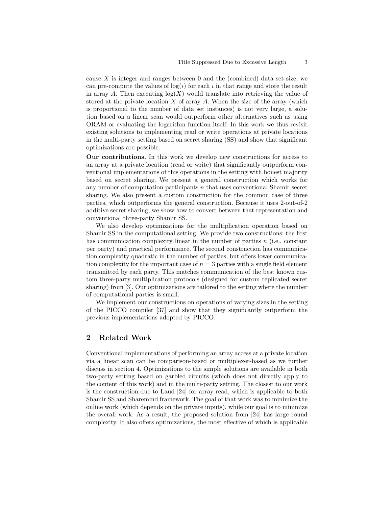cause  $X$  is integer and ranges between 0 and the (combined) data set size, we can pre-compute the values of  $log(i)$  for each i in that range and store the result in array A. Then executing  $log(X)$  would translate into retrieving the value of stored at the private location  $X$  of array  $A$ . When the size of the array (which is proportional to the number of data set instances) is not very large, a solution based on a linear scan would outperform other alternatives such as using ORAM or evaluating the logarithm function itself. In this work we thus revisit existing solutions to implementing read or write operations at private locations in the multi-party setting based on secret sharing (SS) and show that significant optimizations are possible.

Our contributions. In this work we develop new constructions for access to an array at a private location (read or write) that significantly outperform conventional implementations of this operations in the setting with honest majority based on secret sharing. We present a general construction which works for any number of computation participants  $n$  that uses conventional Shamir secret sharing. We also present a custom construction for the common case of three parties, which outperforms the general construction. Because it uses 2-out-of-2 additive secret sharing, we show how to convert between that representation and conventional three-party Shamir SS.

We also develop optimizations for the multiplication operation based on Shamir SS in the computational setting. We provide two constructions: the first has communication complexity linear in the number of parties  $n$  (i.e., constant per party) and practical performance. The second construction has communication complexity quadratic in the number of parties, but offers lower communication complexity for the important case of  $n = 3$  parties with a single field element transmitted by each party. This matches communication of the best known custom three-party multiplication protocols (designed for custom replicated secret sharing) from [3]. Our optimizations are tailored to the setting where the number of computational parties is small.

We implement our constructions on operations of varying sizes in the setting of the PICCO compiler [37] and show that they significantly outperform the previous implementations adopted by PICCO.

# 2 Related Work

Conventional implementations of performing an array access at a private location via a linear scan can be comparison-based or multiplexer-based as we further discuss in section 4. Optimizations to the simple solutions are available in both two-party setting based on garbled circuits (which does not directly apply to the content of this work) and in the multi-party setting. The closest to our work is the construction due to Laud [24] for array read, which is applicable to both Shamir SS and Sharemind framework. The goal of that work was to minimize the online work (which depends on the private inputs), while our goal is to minimize the overall work. As a result, the proposed solution from [24] has large round complexity. It also offers optimizations, the most effective of which is applicable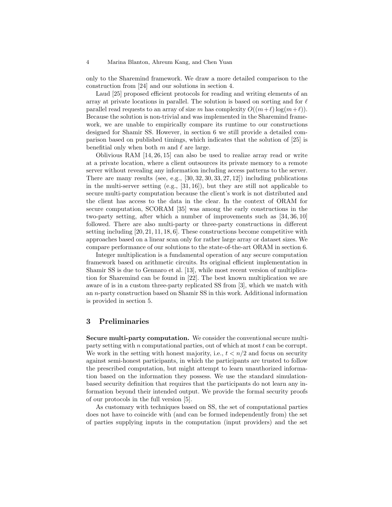only to the Sharemind framework. We draw a more detailed comparison to the construction from [24] and our solutions in section 4.

Laud [25] proposed efficient protocols for reading and writing elements of an array at private locations in parallel. The solution is based on sorting and for  $\ell$ parallel read requests to an array of size m has complexity  $O((m+\ell) \log(m+\ell))$ . Because the solution is non-trivial and was implemented in the Sharemind framework, we are unable to empirically compare its runtime to our constructions designed for Shamir SS. However, in section 6 we still provide a detailed comparison based on published timings, which indicates that the solution of [25] is benefitial only when both  $m$  and  $\ell$  are large.

Oblivious RAM [14, 26, 15] can also be used to realize array read or write at a private location, where a client outsources its private memory to a remote server without revealing any information including access patterns to the server. There are many results (see, e.g.,  $[30, 32, 30, 33, 27, 12]$ ) including publications in the multi-server setting (e.g., [31, 16]), but they are still not applicable to secure multi-party computation because the client's work is not distributed and the client has access to the data in the clear. In the context of ORAM for secure computation, SCORAM [35] was among the early constructions in the two-party setting, after which a number of improvements such as [34, 36, 10] followed. There are also multi-party or three-party constructions in different setting including [20, 21, 11, 18, 6]. These constructions become competitive with approaches based on a linear scan only for rather large array or dataset sizes. We compare performance of our solutions to the state-of-the-art ORAM in section 6.

Integer multiplication is a fundamental operation of any secure computation framework based on arithmetic circuits. Its original efficient implementation in Shamir SS is due to Gennaro et al. [13], while most recent version of multiplication for Sharemind can be found in [22]. The best known multiplication we are aware of is in a custom three-party replicated SS from [3], which we match with an n-party construction based on Shamir SS in this work. Additional information is provided in section 5.

# 3 Preliminaries

Secure multi-party computation. We consider the conventional secure multiparty setting with  $n$  computational parties, out of which at most  $t$  can be corrupt. We work in the setting with honest majority, i.e.,  $t < n/2$  and focus on security against semi-honest participants, in which the participants are trusted to follow the prescribed computation, but might attempt to learn unauthorized information based on the information they possess. We use the standard simulationbased security definition that requires that the participants do not learn any information beyond their intended output. We provide the formal security proofs of our protocols in the full version [5].

As customary with techniques based on SS, the set of computational parties does not have to coincide with (and can be formed independently from) the set of parties supplying inputs in the computation (input providers) and the set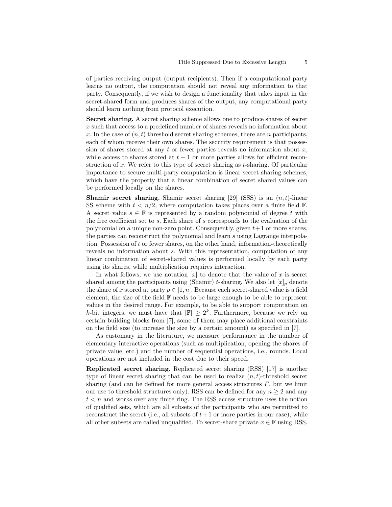of parties receiving output (output recipients). Then if a computational party learns no output, the computation should not reveal any information to that party. Consequently, if we wish to design a functionality that takes input in the secret-shared form and produces shares of the output, any computational party should learn nothing from protocol execution.

Secret sharing. A secret sharing scheme allows one to produce shares of secret x such that access to a predefined number of shares reveals no information about x. In the case of  $(n, t)$  threshold secret sharing schemes, there are n participants, each of whom receive their own shares. The security requirement is that possession of shares stored at any t or fewer parties reveals no information about  $x$ , while access to shares stored at  $t + 1$  or more parties allows for efficient reconstruction of  $x$ . We refer to this type of secret sharing as  $t$ -sharing. Of particular importance to secure multi-party computation is linear secret sharing schemes, which have the property that a linear combination of secret shared values can be performed locally on the shares.

**Shamir secret sharing.** Shamir secret sharing [29] (SSS) is an  $(n, t)$ -linear SS scheme with  $t < n/2$ , where computation takes places over a finite field  $\mathbb{F}$ . A secret value  $s \in \mathbb{F}$  is represented by a random polynomial of degree t with the free coefficient set to s. Each share of s corresponds to the evaluation of the polynomial on a unique non-zero point. Consequently, given  $t+1$  or more shares, the parties can reconstruct the polynomial and learn s using Lagrange interpolation. Possession of  $t$  or fewer shares, on the other hand, information-theoretically reveals no information about s. With this representation, computation of any linear combination of secret-shared values is performed locally by each party using its shares, while multiplication requires interaction.

In what follows, we use notation  $[x]$  to denote that the value of x is secret shared among the participants using (Shamir) t-sharing. We also let  $[x]_p$  denote the share of x stored at party  $p \in [1, n]$ . Because each secret-shared value is a field element, the size of the field F needs to be large enough to be able to represent values in the desired range. For example, to be able to support computation on k-bit integers, we must have that  $|\mathbb{F}| \geq 2^k$ . Furthermore, because we rely on certain building blocks from [7], some of them may place additional constraints on the field size (to increase the size by a certain amount) as specified in [7].

As customary in the literature, we measure performance in the number of elementary interactive operations (such as multiplication, opening the shares of private value, etc.) and the number of sequential operations, i.e., rounds. Local operations are not included in the cost due to their speed.

Replicated secret sharing. Replicated secret sharing (RSS) [17] is another type of linear secret sharing that can be used to realize  $(n, t)$ -threshold secret sharing (and can be defined for more general access structures  $\Gamma$ , but we limit our use to threshold structures only). RSS can be defined for any  $n \geq 2$  and any  $t < n$  and works over any finite ring. The RSS access structure uses the notion of qualified sets, which are all subsets of the participants who are permitted to reconstruct the secret (i.e., all subsets of  $t+1$  or more parties in our case), while all other subsets are called unqualified. To secret-share private  $x \in \mathbb{F}$  using RSS,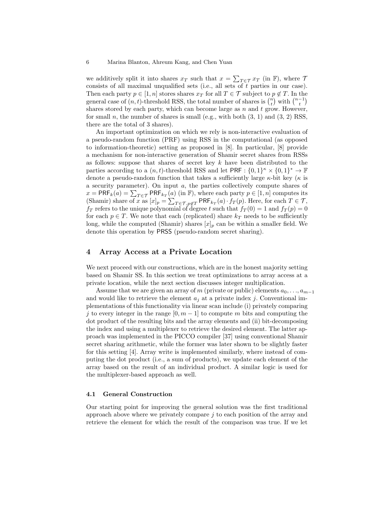we additively split it into shares  $x_T$  such that  $x = \sum_{T \in \mathcal{T}} x_T$  (in F), where  $\mathcal{T}$ consists of all maximal unqualified sets (i.e., all sets of t parties in our case). Then each party  $p \in [1, n]$  stores shares  $x_T$  for all  $T \in \mathcal{T}$  subject to  $p \notin T$ . In the general case of  $(n, t)$ -threshold RSS, the total number of shares is  $\binom{n}{t}$  with  $\binom{n-1}{t}$ shares stored by each party, which can become large as  $n$  and  $t$  grow. However, for small n, the number of shares is small (e.g., with both  $(3, 1)$  and  $(3, 2)$  RSS, there are the total of 3 shares).

An important optimization on which we rely is non-interactive evaluation of a pseudo-random function (PRF) using RSS in the computational (as opposed to information-theoretic) setting as proposed in [8]. In particular, [8] provide a mechanism for non-interactive generation of Shamir secret shares from RSSs as follows: suppose that shares of secret key  $k$  have been distributed to the parties according to a  $(n, t)$ -threshold RSS and let PRF :  $\{0, 1\}^k \times \{0, 1\}^* \to \mathbb{F}$ denote a pseudo-random function that takes a sufficiently large  $\kappa$ -bit key ( $\kappa$  is a security parameter). On input a, the parties collectively compute shares of  $x = \mathsf{PRF}_k(a) = \sum_{T \in \mathcal{T}} \mathsf{PRF}_{k_T}(a)$  (in  $\mathbb{F}$ ), where each party  $p \in [1, n]$  computes its (Shamir) share of x as  $[x]_p = \sum_{T \in \mathcal{T}, p \notin T} \mathsf{PRF}_{k_T}(a) \cdot f_T(p)$ . Here, for each  $T \in \mathcal{T}$ ,  $f_T$  refers to the unique polynomial of degree t such that  $f_T(0) = 1$  and  $f_T(p) = 0$ for each  $p \in T$ . We note that each (replicated) share  $k_T$  needs to be sufficiently long, while the computed (Shamir) shares  $[x]_p$  can be within a smaller field. We denote this operation by PRSS (pseudo-random secret sharing).

#### 4 Array Access at a Private Location

We next proceed with our constructions, which are in the honest majority setting based on Shamir SS. In this section we treat optimizations to array access at a private location, while the next section discusses integer multiplication.

Assume that we are given an array of m (private or public) elements  $a_0, \ldots, a_{m-1}$ and would like to retrieve the element  $a_i$  at a private index j. Conventional implementations of this functionality via linear scan include (i) privately comparing j to every integer in the range  $[0, m-1]$  to compute m bits and computing the dot product of the resulting bits and the array elements and (ii) bit-decomposing the index and using a multiplexer to retrieve the desired element. The latter approach was implemented in the PICCO compiler [37] using conventional Shamir secret sharing arithmetic, while the former was later shown to be slightly faster for this setting [4]. Array write is implemented similarly, where instead of computing the dot product (i.e., a sum of products), we update each element of the array based on the result of an individual product. A similar logic is used for the multiplexer-based approach as well.

#### 4.1 General Construction

Our starting point for improving the general solution was the first traditional approach above where we privately compare  $j$  to each position of the array and retrieve the element for which the result of the comparison was true. If we let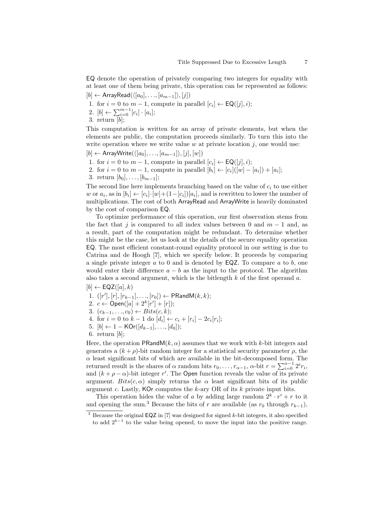EQ denote the operation of privately comparing two integers for equality with at least one of them being private, this operation can be represented as follows:  $[b] \leftarrow$  ArrayRead( $\langle [a_0], \ldots, [a_{m-1}]\rangle, [j]$ )

- 1. for  $i = 0$  to  $m 1$ , compute in parallel  $[c_i] \leftarrow \mathsf{EQ}([j], i);$
- 2.  $[b] \leftarrow \sum_{i=0}^{m-1} [c_i] \cdot [a_i];$
- 3. return [b];

This computation is written for an array of private elements, but when the elements are public, the computation proceeds similarly. To turn this into the write operation where we write value  $w$  at private location  $j$ , one would use:

- $[b] \leftarrow$  ArrayWrite( $\langle [a_0], \ldots, [a_{m-1}]\rangle, [j], [w]$ )
- 1. for  $i = 0$  to  $m 1$ , compute in parallel  $[c_i] \leftarrow \mathsf{EQ}([j], i);$
- 2. for  $i = 0$  to  $m 1$ , compute in parallel  $[b_i] \leftarrow [c_i]([w] [a_i]) + [a_i]$ ;
- 3. return  $[b_0], \ldots, [b_{m-1}];$

The second line here implements branching based on the value of  $c_i$  to use either w or  $a_i$ , as in  $[b_i] \leftarrow [c_i] \cdot [w] + (1 - [c_i]) [a_i]$ , and is rewritten to lower the number of multiplications. The cost of both ArrayRead and ArrayWrite is heavily dominated by the cost of comparison EQ.

To optimize performance of this operation, our first observation stems from the fact that j is compared to all index values between 0 and  $m-1$  and, as a result, part of the computation might be redundant. To determine whether this might be the case, let us look at the details of the secure equality operation EQ. The most efficient constant-round equality protocol in our setting is due to Catrina and de Hoogh [7], which we specify below. It proceeds by comparing a single private integer  $a$  to 0 and is denoted by **EQZ**. To compare  $a$  to  $b$ , one would enter their difference  $a - b$  as the input to the protocol. The algorithm also takes a second argument, which is the bitlength  $k$  of the first operand  $a$ .

- $[b] \leftarrow \textsf{EQZ}([a], k)$
- 1. ([r'], [r], [r<sub>k−1</sub>], ..., [r<sub>0</sub>]) ← PRandM(k, k);
- 2.  $c \leftarrow \text{Open}([a] + 2^k[r'] + [r]);$
- 3.  $(c_{k-1},...,c_0)$  ← Bits $(c, k)$ ;
- 4. for  $i = 0$  to  $k 1$  do  $[d_i] \leftarrow c_i + [r_i] 2c_i[r_i]$ ;
- 5.  $[b] \leftarrow 1 \text{KOr}([d_{k-1}], \ldots, [d_0]);$

6. return  $[b]$ ;

Here, the operation PRandM(k,  $\alpha$ ) assumes that we work with k-bit integers and generates a  $(k+\rho)$ -bit random integer for a statistical security parameter  $\rho$ , the  $\alpha$  least significant bits of which are available in the bit-decomposed form. The returned result is the shares of  $\alpha$  random bits  $r_0, \ldots, r_{\alpha-1}, \alpha$ -bit  $r = \sum_{i=0}^{\alpha-1} 2^i r_i$ , and  $(k + \rho - \alpha)$ -bit integer r'. The Open function reveals the value of its private argument.  $Bits(c, \alpha)$  simply returns the  $\alpha$  least significant bits of its public argument  $c$ . Lastly, KOr computes the  $k$ -ary OR of its  $k$  private input bits.

This operation hides the value of a by adding large random  $2^k \cdot r' + r$  to it and opening the sum.<sup>3</sup> Because the bits of r are available (as  $r_0$  through  $r_{k-1}$ ),

 $\frac{3}{3}$  Because the original EQZ in [7] was designed for signed k-bit integers, it also specified to add  $2^{k-1}$  to the value being opened, to move the input into the positive range.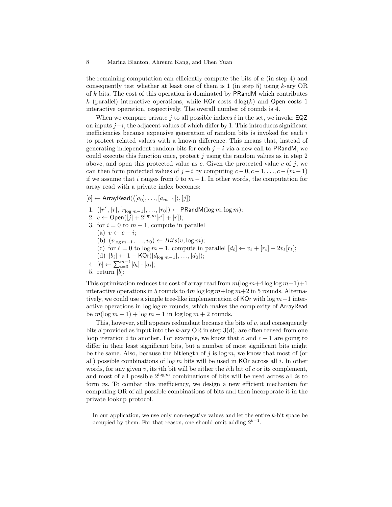the remaining computation can efficiently compute the bits of  $a$  (in step 4) and consequently test whether at least one of them is  $1$  (in step 5) using  $k$ -ary OR of k bits. The cost of this operation is dominated by PRandM which contributes k (parallel) interactive operations, while KOr costs  $4 \log(k)$  and Open costs 1 interactive operation, respectively. The overall number of rounds is 4.

When we compare private j to all possible indices i in the set, we invoke  $EQZ$ on inputs  $j-i$ , the adjacent values of which differ by 1. This introduces significant inefficiencies because expensive generation of random bits is invoked for each  $i$ to protect related values with a known difference. This means that, instead of generating independent random bits for each  $j - i$  via a new call to PRandM, we could execute this function once, protect  $j$  using the random values as in step 2 above, and open this protected value as c. Given the protected value c of  $j$ , we can then form protected values of  $j - i$  by computing  $c - 0, c - 1, \ldots, c - (m - 1)$ if we assume that i ranges from 0 to  $m-1$ . In other words, the computation for array read with a private index becomes:

 $[b] \leftarrow$  ArrayRead( $\langle [a_0], \ldots, [a_{m-1}]\rangle, [j]$ )

- 1. ([r'], [r], [ $r_{\log m-1}$ ], ..., [r<sub>0</sub>]) ← PRandM(log m, log m);
- 2.  $c \leftarrow \mathsf{Open}([\overline{j}] + 2^{\log m}[r'] + [r]);$
- 3. for  $i = 0$  to  $m 1$ , compute in parallel
	- (a)  $v \leftarrow c i$ ;
	- (b)  $(v_{\log m-1}, \ldots, v_0) \leftarrow Bits(v, \log m);$
	- (c) for  $\ell = 0$  to log  $m 1$ , compute in parallel  $[d_{\ell}] \leftarrow v_{\ell} + [r_{\ell}] 2v_{\ell}[r_{\ell}];$
	- (d)  $[b_i] \leftarrow 1 \text{KOr}([d_{\log m-1}], \dots, [d_0])$ ;
- 4.  $[b] \leftarrow \sum_{i=0}^{m-1} [b_i] \cdot [a_i];$

5. return 
$$
[b]
$$
;

This optimization reduces the cost of array read from  $m(\log m+4 \log \log m+1)+1$ interactive operations in 5 rounds to  $4m \log \log m + \log m + 2$  in 5 rounds. Alternatively, we could use a simple tree-like implementation of KOr with  $\log m-1$  interactive operations in  $\log \log m$  rounds, which makes the complexity of ArrayRead be  $m(\log m - 1) + \log m + 1$  in  $\log \log m + 2$  rounds.

This, however, still appears redundant because the bits of v, and consequently bits d provided as input into the k-ary OR in step  $3(d)$ , are often reused from one loop iteration i to another. For example, we know that c and  $c - 1$  are going to differ in their least significant bits, but a number of most significant bits might be the same. Also, because the bitlength of j is  $\log m$ , we know that most of (or all) possible combinations of  $\log m$  bits will be used in KOr across all i. In other words, for any given  $v$ , its *i*th bit will be either the *i*th bit of  $c$  or its complement, and most of all possible  $2^{\log m}$  combinations of bits will be used across all is to form vs. To combat this inefficiency, we design a new efficient mechanism for computing OR of all possible combinations of bits and then incorporate it in the private lookup protocol.

In our application, we use only non-negative values and let the entire  $k$ -bit space be occupied by them. For that reason, one should omit adding  $2^{k-1}$ .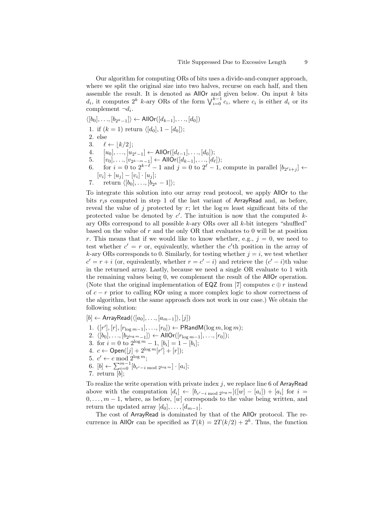Our algorithm for computing ORs of bits uses a divide-and-conquer approach, where we split the original size into two halves, recurse on each half, and then assemble the result. It is denoted as  $AllOr$  and given below. On input k bits  $d_i$ , it computes  $2^k$  k-ary ORs of the form  $\bigvee_{i=0}^{k-1} c_i$ , where  $c_i$  is either  $d_i$  or its complement  $\neg d_i$ .

$$
\langle [b_0], \ldots, [b_{2^k-1}] \rangle \leftarrow \text{AllOr}([d_{k-1}], \ldots, [d_0])
$$
\n1. if  $(k = 1)$  return  $\langle [d_0], 1 - [d_0] \rangle$ ;  
\n2. else  
\n3.  $\ell \leftarrow \lfloor k/2 \rfloor$ ;  
\n4.  $[u_0], \ldots, [u_{2^{\ell}-1}] \leftarrow \text{AllOr}([d_{\ell-1}], \ldots, [d_0])$ ;  
\n5.  $[v_0], \ldots, [v_{2^{k-m}-1}] \leftarrow \text{AllOr}([d_{k-1}], \ldots, [d_{\ell}])$ ;  
\n6. for  $i = 0$  to  $2^{k-\ell} - 1$  and  $j = 0$  to  $2^{\ell} - 1$ , compute in parallel  $[b_{2^{\ell}i+j}]$   
\n $[v_i] + [u_j] - [v_i] \cdot [u_j];$   
\n7. return  $\langle [b_0], \ldots, [b_{2^k} - 1] \rangle$ ;

To integrate this solution into our array read protocol, we apply AllOr to the bits  $r_i$ s computed in step 1 of the last variant of ArrayRead and, as before, reveal the value of j protected by r; let the  $\log m$  least significant bits of the protected value be denoted by  $c'$ . The intuition is now that the computed  $k$ ary ORs correspond to all possible  $k$ -ary ORs over all  $k$ -bit integers "shuffled" based on the value of r and the only OR that evaluates to 0 will be at position r. This means that if we would like to know whether, e.g.,  $j = 0$ , we need to test whether  $c' = r$  or, equivalently, whether the c'th position in the array of k-ary ORs corresponds to 0. Similarly, for testing whether  $j = i$ , we test whether  $c' = r + i$  (or, equivalently, whether  $r = c' - i$ ) and retrieve the  $(c' - i)$ <sup>th</sup> value in the returned array. Lastly, because we need a single OR evaluate to 1 with the remaining values being 0, we complement the result of the AllOr operation. (Note that the original implementation of **EQZ** from [7] computes  $c \oplus r$  instead of  $c - r$  prior to calling KOr using a more complex logic to show correctness of the algorithm, but the same approach does not work in our case.) We obtain the following solution:

 $[b] \leftarrow$  ArrayRead( $\langle [a_0], \ldots, [a_{m-1}]\rangle, [j]$ )

- 1. ([r'], [r], [ $r_{\log m-1}$ ], ..., [r<sub>0</sub>]) ← PRandM(log m, log m);
- 2.  $\langle [b_0], \ldots, [b_{2^{\log m}-1}] \rangle$  ← AllOr $([r_{\log m-1}], \ldots, [r_0])$ ;
- 3. for  $i = 0$  to  $2^{\log m} 1$ ,  $[b_i] = 1 [b_i]$ ;
- 4. *c* ← Open( $[j]$  +  $2^{\log m}[r']$  +  $[r]$ );
- 5.  $c' \leftarrow c \mod 2^{\log m};$
- 6.  $[b] \leftarrow \sum_{i=0}^{m-1} [b_{c'-i \bmod 2^{\log m}}] \cdot [a_i];$
- 7. return  $[b]$ ;

To realize the write operation with private index  $j$ , we replace line 6 of ArrayRead above with the computation  $[d_i] \leftarrow [b_{c'-i \bmod 2^{\log m}}]([w] - [a_i]) + [a_i]$  for  $i =$  $0, \ldots, m-1$ , where, as before, [w] corresponds to the value being written, and return the updated array  $[d_0], \ldots, [d_{m-1}].$ 

The cost of ArrayRead is dominated by that of the AllOr protocol. The recurrence in AllOr can be specified as  $T(k) = 2T(k/2) + 2^k$ . Thus, the function

 $\leftarrow$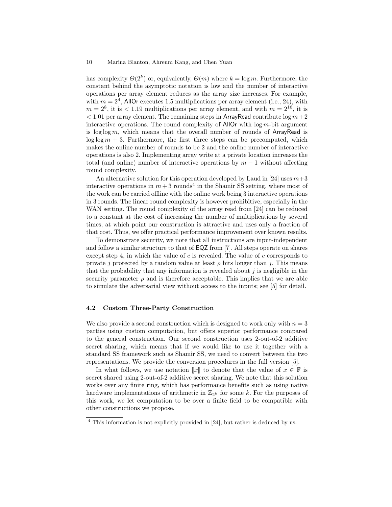#### 10 Marina Blanton, Ahreum Kang, and Chen Yuan

has complexity  $\Theta(2^k)$  or, equivalently,  $\Theta(m)$  where  $k = \log m$ . Furthermore, the constant behind the asymptotic notation is low and the number of interactive operations per array element reduces as the array size increases. For example, with  $m = 2<sup>4</sup>$ , AllOr executes 1.5 multiplications per array element (i.e., 24), with  $m = 2<sup>8</sup>$ , it is  $< 1.19$  multiplications per array element, and with  $m = 2<sup>16</sup>$ , it is  $< 1.01$  per array element. The remaining steps in ArrayRead contribute  $\log m + 2$ interactive operations. The round complexity of AllOr with  $\log m$ -bit argument is  $\log \log m$ , which means that the overall number of rounds of ArrayRead is  $\log \log m + 3$ . Furthermore, the first three steps can be precomputed, which makes the online number of rounds to be 2 and the online number of interactive operations is also 2. Implementing array write at a private location increases the total (and online) number of interactive operations by  $m-1$  without affecting round complexity.

An alternative solution for this operation developed by Laud in [24] uses  $m+3$ interactive operations in  $m+3$  rounds<sup>4</sup> in the Shamir SS setting, where most of the work can be carried offline with the online work being 3 interactive operations in 3 rounds. The linear round complexity is however prohibitive, especially in the WAN setting. The round complexity of the array read from [24] can be reduced to a constant at the cost of increasing the number of multiplications by several times, at which point our construction is attractive and uses only a fraction of that cost. Thus, we offer practical performance improvement over known results.

To demonstrate security, we note that all instructions are input-independent and follow a similar structure to that of EQZ from [7]. All steps operate on shares except step 4, in which the value of  $c$  is revealed. The value of  $c$  corresponds to private j protected by a random value at least  $\rho$  bits longer than j. This means that the probability that any information is revealed about  $j$  is negligible in the security parameter  $\rho$  and is therefore acceptable. This implies that we are able to simulate the adversarial view without access to the inputs; see [5] for detail.

#### 4.2 Custom Three-Party Construction

We also provide a second construction which is designed to work only with  $n = 3$ parties using custom computation, but offers superior performance compared to the general construction. Our second construction uses 2-out-of-2 additive secret sharing, which means that if we would like to use it together with a standard SS framework such as Shamir SS, we need to convert between the two representations. We provide the conversion procedures in the full version [5].

In what follows, we use notation  $\llbracket x \rrbracket$  to denote that the value of  $x \in \mathbb{F}$  is secret shared using 2-out-of-2 additive secret sharing. We note that this solution works over any finite ring, which has performance benefits such as using native hardware implementations of arithmetic in  $\mathbb{Z}_{2^k}$  for some k. For the purposes of this work, we let computation to be over a finite field to be compatible with other constructions we propose.

<sup>4</sup> This information is not explicitly provided in [24], but rather is deduced by us.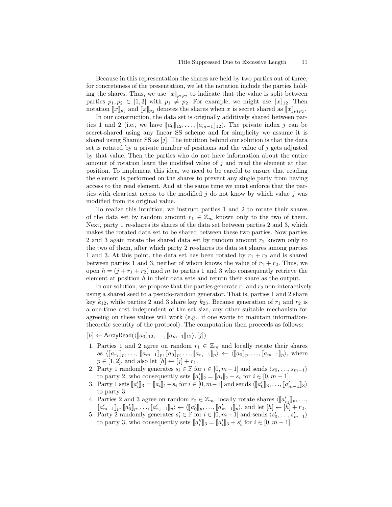Because in this representation the shares are held by two parties out of three, for concreteness of the presentation, we let the notation include the parties holding the shares. Thus, we use  $[\![x]\!]_{p_1p_2}$  to indicate that the value is split between parties  $p_1, p_2 \in [1, 3]$  with  $p_1 \neq p_2$ . For example, we might use  $[\![x]\!]_{12}$ . Then notation  $[x]_{p_1}$  and  $[x]_{p_2}$  denotes the shares when x is secret shared as  $[x]_{p_1p_2}$ .

In our construction, the data set is originally additively shared between parties 1 and 2 (i.e., we have  $[\![a_0]\!]_{12}, \ldots, [\![a_{m-1}]\!]_{12}$ ). The private index j can be secret-shared using any linear SS scheme and for simplicity we assume it is shared using Shamir SS as  $[j]$ . The intuition behind our solution is that the data set is rotated by a private number of positions and the value of  $j$  gets adjusted by that value. Then the parties who do not have information about the entire amount of rotation learn the modified value of  $j$  and read the element at that position. To implement this idea, we need to be careful to ensure that reading the element is performed on the shares to prevent any single party from having access to the read element. And at the same time we must enforce that the parties with cleartext access to the modified  $j$  do not know by which value  $j$  was modified from its original value.

To realize this intuition, we instruct parties 1 and 2 to rotate their shares of the data set by random amount  $r_1 \in \mathbb{Z}_m$  known only to the two of them. Next, party 1 re-shares its shares of the data set between parties 2 and 3, which makes the rotated data set to be shared between these two parties. Now parties 2 and 3 again rotate the shared data set by random amount  $r_2$  known only to the two of them, after which party 2 re-shares its data set shares among parties 1 and 3. At this point, the data set has been rotated by  $r_1 + r_2$  and is shared between parties 1 and 3, neither of whom knows the value of  $r_1 + r_2$ . Thus, we open  $h = (j + r_1 + r_2)$  mod m to parties 1 and 3 who consequently retrieve the element at position  $h$  in their data sets and return their share as the output.

In our solution, we propose that the parties generate  $r_1$  and  $r_2$  non-interactively using a shared seed to a pseudo-random generator. That is, parties 1 and 2 share key  $k_{12}$ , while parties 2 and 3 share key  $k_{23}$ . Because generation of  $r_1$  and  $r_2$  is a one-time cost independent of the set size, any other suitable mechanism for agreeing on these values will work (e.g., if one wants to maintain informationtheoretic security of the protocol). The computation then proceeds as follows:

- $[[b] \leftarrow$  ArrayRead( $\langle [[a_0]]_1_2, \ldots, [[a_{m-1}]]_1_2 \rangle, [j])$
- 1. Parties 1 and 2 agree on random  $r_1 \in \mathbb{Z}_m$  and locally rotate their shares as  $\langle [a_{r_1}]_p, \ldots, [a_{m-1}]_p, [a_0]_p, \ldots, [a_{r_1-1}]_p \rangle \leftarrow \langle [a_0]_p, \ldots, [a_{m-1}]_p \rangle$ , where  $p \in [1, 2]$ , and also let  $[h] \leftarrow [j] + r_1$ .
- 2. Party 1 randomly generates  $s_i \in \mathbb{F}$  for  $i \in [0, m-1]$  and sends  $\langle s_0, \ldots, s_{m-1} \rangle$ to party 2, who consequently sets  $[[a_i]]_2 = [[a_i]]_2 + s_i$  for  $i \in [0, m-1]$ .<br>Party 1 sets  $[[a']_2 = [[a_i]]_2 + [a_i]_2 = [[a_i]]_2 + s_i$  for  $i \in [0, m-1]$ .
- 3. Party 1 sets  $[[a'_i]]_3 = [[a_i]]_1 s_i$  for  $i \in [0, m-1]$  and sends  $\langle [[a'_0]]_3, \ldots, [[a'_m]_3] \rangle$ to party 3.
- 4. Parties 2 and 3 agree on random <sup>r</sup><sup>2</sup> <sup>∈</sup> <sup>Z</sup>m, locally rotate shares <sup>h</sup>J<sup>a</sup> 0 r2 <sup>K</sup><sup>p</sup>, . . .,
- $[a'_{m-1}]_p, [a'_0]_p, \ldots, [a'_{r_2-1}]_p \rangle \leftarrow \langle [a'_0]_p, \ldots, [a'_{m-1}]_p \rangle$ , and let  $[h] \leftarrow [h] + r_2$ .<br>5. Party 2 randomly generates  $s'_i \in \mathbb{F}$  for  $i \in [0, m-1]$  and sends  $\langle s'_0, \ldots, s'_{m-1} \rangle$ to party 3, who consequently sets  $\llbracket a_i'' \rrbracket_3 = \llbracket a_i' \rrbracket_3 + s_i'$  for  $i \in [0, m - 1]$ .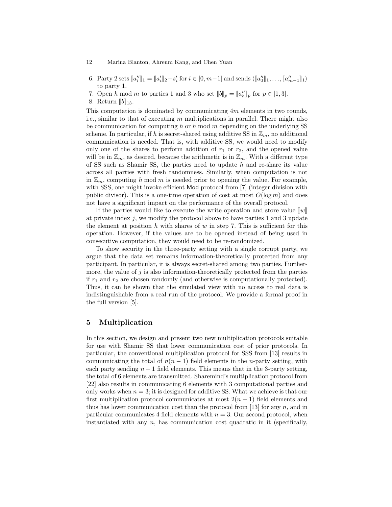- 12 Marina Blanton, Ahreum Kang, and Chen Yuan
- 6. Party 2 sets  $[[a_i']]_1 = [[a_i']_2 s_i'$  for  $i \in [0, m-1]$  and sends  $\langle [[a_0'']_1, ..., [[a_{m-1}'']_1] \rangle$ to party 1.
- 7. Open h mod m to parties 1 and 3 who set  $[[b]]_p = [[a''_h]]_p$  for  $p \in [1, 3]$ .
- 8. Return  $||b||_{13}$ .

This computation is dominated by communicating 4m elements in two rounds, i.e., similar to that of executing  $m$  multiplications in parallel. There might also be communication for computing h or h mod m depending on the underlying SS scheme. In particular, if h is secret-shared using additive SS in  $\mathbb{Z}_m$ , no additional communication is needed. That is, with additive SS, we would need to modify only one of the shares to perform addition of  $r_1$  or  $r_2$ , and the opened value will be in  $\mathbb{Z}_m$ , as desired, because the arithmetic is in  $\mathbb{Z}_m$ . With a different type of SS such as Shamir SS, the parties need to update  $h$  and re-share its value across all parties with fresh randomness. Similarly, when computation is not in  $\mathbb{Z}_m$ , computing h mod m is needed prior to opening the value. For example, with SSS, one might invoke efficient Mod protocol from [7] (integer division with public divisor). This is a one-time operation of cost at most  $O(\log m)$  and does not have a significant impact on the performance of the overall protocol.

If the parties would like to execute the write operation and store value  $\llbracket w \rrbracket$ at private index  $j$ , we modify the protocol above to have parties 1 and 3 update the element at position h with shares of w in step 7. This is sufficient for this operation. However, if the values are to be opened instead of being used in consecutive computation, they would need to be re-randomized.

To show security in the three-party setting with a single corrupt party, we argue that the data set remains information-theoretically protected from any participant. In particular, it is always secret-shared among two parties. Furthermore, the value of  $j$  is also information-theoretically protected from the parties if  $r_1$  and  $r_2$  are chosen randomly (and otherwise is computationally protected). Thus, it can be shown that the simulated view with no access to real data is indistinguishable from a real run of the protocol. We provide a formal proof in the full version [5].

# 5 Multiplication

In this section, we design and present two new multiplication protocols suitable for use with Shamir SS that lower communication cost of prior protocols. In particular, the conventional multiplication protocol for SSS from [13] results in communicating the total of  $n(n-1)$  field elements in the *n*-party setting, with each party sending  $n - 1$  field elements. This means that in the 3-party setting, the total of 6 elements are transmitted. Sharemind's multiplication protocol from [22] also results in communicating 6 elements with 3 computational parties and only works when  $n = 3$ ; it is designed for additive SS. What we achieve is that our first multiplication protocol communicates at most  $2(n-1)$  field elements and thus has lower communication cost than the protocol from [13] for any  $n$ , and in particular communicates 4 field elements with  $n = 3$ . Our second protocol, when instantiated with any  $n$ , has communication cost quadratic in it (specifically,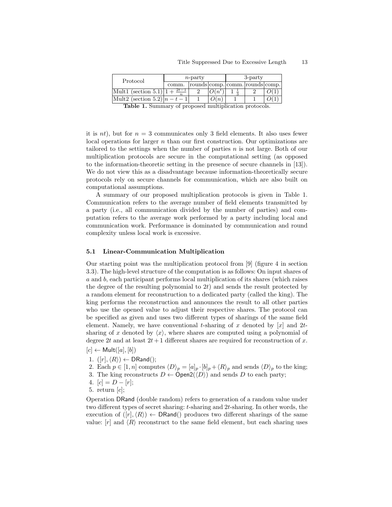| Protocol                         |          | $n$ -party |  |                                 |  |  |  |
|----------------------------------|----------|------------|--|---------------------------------|--|--|--|
|                                  | comm.    |            |  | rounds comp. comm. rounds comp. |  |  |  |
| Mult1 (section $5.1$ ) 1         | $2t - 1$ | $O(n^{t})$ |  |                                 |  |  |  |
| Mult2 (section $5.2$ ) $ n-t-1 $ |          | O(n)       |  |                                 |  |  |  |

Table 1. Summary of proposed multiplication protocols.

it is *nt*), but for  $n = 3$  communicates only 3 field elements. It also uses fewer local operations for larger  $n$  than our first construction. Our optimizations are tailored to the settings when the number of parties  $n$  is not large. Both of our multiplication protocols are secure in the computational setting (as opposed to the information-theoretic setting in the presence of secure channels in [13]). We do not view this as a disadvantage because information-theoretically secure protocols rely on secure channels for communication, which are also built on computational assumptions.

A summary of our proposed multiplication protocols is given in Table 1. Communication refers to the average number of field elements transmitted by a party (i.e., all communication divided by the number of parties) and computation refers to the average work performed by a party including local and communication work. Performance is dominated by communication and round complexity unless local work is excessive.

#### 5.1 Linear-Communication Multiplication

Our starting point was the multiplication protocol from [9] (figure 4 in section 3.3). The high-level structure of the computation is as follows: On input shares of a and b, each participant performs local multiplication of its shares (which raises the degree of the resulting polynomial to  $2t$ ) and sends the result protected by a random element for reconstruction to a dedicated party (called the king). The king performs the reconstruction and announces the result to all other parties who use the opened value to adjust their respective shares. The protocol can be specified as given and uses two different types of sharings of the same field element. Namely, we have conventional t-sharing of x denoted by  $[x]$  and  $2t$ sharing of x denoted by  $\langle x \rangle$ , where shares are computed using a polynomial of degree 2t and at least  $2t+1$  different shares are required for reconstruction of x.

 $[c] \leftarrow \mathsf{Mult}([a], [b])$ 

- 1.  $([r], \langle R \rangle) \leftarrow \mathsf{DRand}();$
- 2. Each  $p \in [1, n]$  computes  $\langle D \rangle_p = [a]_p \cdot [b]_p + \langle R \rangle_p$  and sends  $\langle D \rangle_p$  to the king;
- 3. The king reconstructs  $D \leftarrow \mathsf{Open2}(\langle D \rangle)$  and sends D to each party;
- 4.  $[c] = D [r];$
- 5. return  $[c]$ ;

Operation DRand (double random) refers to generation of a random value under two different types of secret sharing: t-sharing and 2t-sharing. In other words, the execution of  $([r], \langle R \rangle) \leftarrow \mathsf{DRand}()$  produces two different sharings of the same value:  $[r]$  and  $\langle R \rangle$  reconstruct to the same field element, but each sharing uses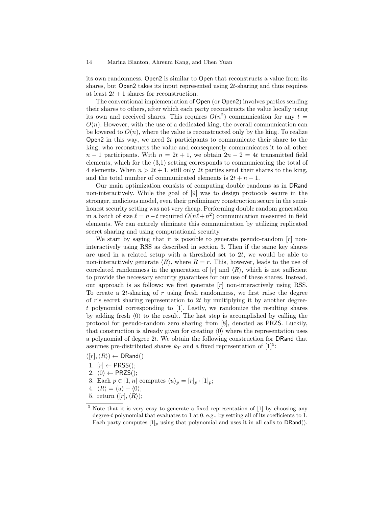#### 14 Marina Blanton, Ahreum Kang, and Chen Yuan

its own randomness. Open2 is similar to Open that reconstructs a value from its shares, but Open2 takes its input represented using 2t-sharing and thus requires at least  $2t + 1$  shares for reconstruction.

The conventional implementation of Open (or Open2) involves parties sending their shares to others, after which each party reconstructs the value locally using its own and received shares. This requires  $O(n^2)$  communication for any  $t =$  $O(n)$ . However, with the use of a dedicated king, the overall communication can be lowered to  $O(n)$ , where the value is reconstructed only by the king. To realize Open2 in this way, we need  $2t$  participants to communicate their share to the king, who reconstructs the value and consequently communicates it to all other  $n-1$  participants. With  $n = 2t + 1$ , we obtain  $2n - 2 = 4t$  transmitted field elements, which for the (3,1) setting corresponds to communicating the total of 4 elements. When  $n > 2t + 1$ , still only 2t parties send their shares to the king, and the total number of communicated elements is  $2t + n - 1$ .

Our main optimization consists of computing double randoms as in DRand non-interactively. While the goal of [9] was to design protocols secure in the stronger, malicious model, even their preliminary construction secure in the semihonest security setting was not very cheap. Performing double random generation in a batch of size  $\ell = n - t$  required  $O(n\ell + n^2)$  communication measured in field elements. We can entirely eliminate this communication by utilizing replicated secret sharing and using computational security.

We start by saying that it is possible to generate pseudo-random  $[r]$  noninteractively using RSS as described in section 3. Then if the same key shares are used in a related setup with a threshold set to  $2t$ , we would be able to non-interactively generate  $\langle R \rangle$ , where  $R = r$ . This, however, leads to the use of correlated randomness in the generation of  $[r]$  and  $\langle R \rangle$ , which is not sufficient to provide the necessary security guarantees for our use of these shares. Instead, our approach is as follows: we first generate [r] non-interactively using RSS. To create a 2t-sharing of  $r$  using fresh randomness, we first raise the degree of r's secret sharing representation to 2t by multiplying it by another degreet polynomial corresponding to [1]. Lastly, we randomize the resulting shares by adding fresh  $\langle 0 \rangle$  to the result. The last step is accomplished by calling the protocol for pseudo-random zero sharing from [8], denoted as PRZS. Luckily, that construction is already given for creating  $\langle 0 \rangle$  where the representation uses a polynomial of degree 2t. We obtain the following construction for DRand that assumes pre-distributed shares  $k_T$  and a fixed representation of  $[1]^5$ :

 $([r], \langle R \rangle) \leftarrow \mathsf{DRand}()$ 

- 1.  $[r] \leftarrow PRSS()$ ;
- 2.  $\langle 0 \rangle \leftarrow PRZS($ );
- 3. Each  $p \in [1, n]$  computes  $\langle u \rangle_p = [r]_p \cdot [1]_p;$
- 4.  $\langle R \rangle = \langle u \rangle + \langle 0 \rangle$ ;
- 5. return  $([r], \langle R \rangle);$

<sup>5</sup> Note that it is very easy to generate a fixed representation of [1] by choosing any degree-t polynomial that evaluates to 1 at 0, e.g., by setting all of its coefficients to 1. Each party computes  $[1]_p$  using that polynomial and uses it in all calls to DRand().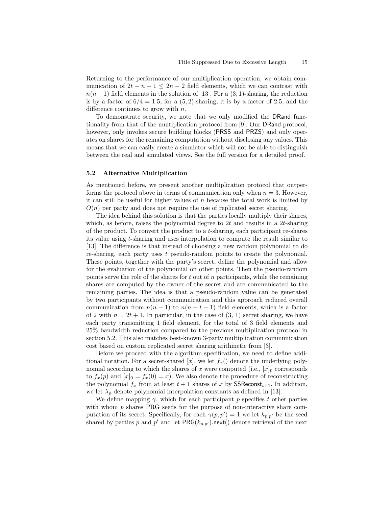Returning to the performance of our multiplication operation, we obtain communication of  $2t + n - 1 \leq 2n - 2$  field elements, which we can contrast with  $n(n-1)$  field elements in the solution of [13]. For a  $(3,1)$ -sharing, the reduction is by a factor of  $6/4 = 1.5$ ; for a  $(5, 2)$ -sharing, it is by a factor of 2.5, and the difference continues to grow with  $n$ .

To demonstrate security, we note that we only modified the DRand functionality from that of the multiplication protocol from [9]. Our DRand protocol, however, only invokes secure building blocks (PRSS and PRZS) and only operates on shares for the remaining computation without disclosing any values. This means that we can easily create a simulator which will not be able to distinguish between the real and simulated views. See the full version for a detailed proof.

#### 5.2 Alternative Multiplication

As mentioned before, we present another multiplication protocol that outperforms the protocol above in terms of communication only when  $n = 3$ . However, it can still be useful for higher values of  $n$  because the total work is limited by  $O(n)$  per party and does not require the use of replicated secret sharing.

The idea behind this solution is that the parties locally multiply their shares, which, as before, raises the polynomial degree to  $2t$  and results in a  $2t$ -sharing of the product. To convert the product to a t-sharing, each participant re-shares its value using t-sharing and uses interpolation to compute the result similar to [13]. The difference is that instead of choosing a new random polynomial to do re-sharing, each party uses  $t$  pseudo-random points to create the polynomial. These points, together with the party's secret, define the polynomial and allow for the evaluation of the polynomial on other points. Then the pseudo-random points serve the role of the shares for t out of n participants, while the remaining shares are computed by the owner of the secret and are communicated to the remaining parties. The idea is that a pseudo-random value can be generated by two participants without communication and this approach reduced overall communication from  $n(n-1)$  to  $n(n-t-1)$  field elements, which is a factor of 2 with  $n = 2t + 1$ . In particular, in the case of  $(3, 1)$  secret sharing, we have each party transmitting 1 field element, for the total of 3 field elements and 25% bandwidth reduction compared to the previous multiplication protocol in section 5.2. This also matches best-known 3-party multiplication communication cost based on custom replicated secret sharing arithmetic from [3].

Before we proceed with the algorithm specification, we need to define additional notation. For a secret-shared [x], we let  $f_x()$  denote the underlying polynomial according to which the shares of x were computed (i.e.,  $[x]_p$  corresponds to  $f_x(p)$  and  $[x]_0 = f_x(0) = x$ . We also denote the procedure of reconstructing the polynomial  $f_x$  from at least  $t + 1$  shares of x by SSReconst<sub> $t+1$ </sub>. In addition, we let  $\lambda_p$  denote polynomial interpolation constants as defined in [13].

We define mapping  $\gamma$ , which for each participant p specifies t other parties with whom  $p$  shares PRG seeds for the purpose of non-interactive share computation of its secret. Specifically, for each  $\gamma(p, p') = 1$  we let  $k_{p, p'}$  be the seed shared by parties p and p' and let  $PRG(k_{p,p'})$ .next() denote retrieval of the next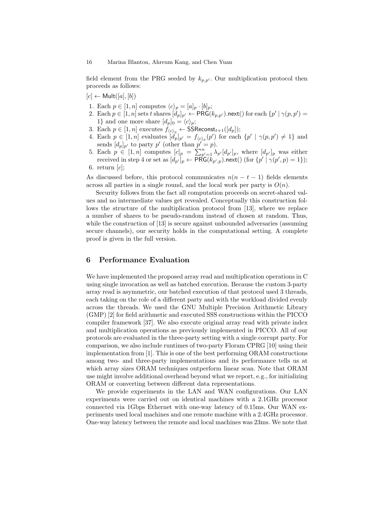field element from the PRG seeded by  $k_{p,p}$ . Our multiplication protocol then proceeds as follows:

 $[c] \leftarrow \mathsf{Mult}([a], [b])$ 

- 1. Each  $p \in [1, n]$  computes  $\langle c \rangle_p = [a]_p \cdot [b]_p$ ;
- 2. Each  $p \in [1, n]$  sets t shares  $\overline{[d_p]_{p'}} \leftarrow \overline{\textsf{PRG}}(k_{p,p'})$ .next() for each  $\{p' \mid \gamma(p,p') =$ 1} and one more share  $[d_p]_0 = \langle c \rangle_p;$
- 3. Each  $p \in [1, n]$  executes  $f_{\langle c \rangle_p} \leftarrow \mathsf{SSReconst}_{t+1}([d_p]);$
- 4. Each  $p \in [1, n]$  evaluates  $\hat{d}_p|_{p'} = f_{\langle c \rangle_p}(p')$  for each  $\{p' \mid \gamma(p, p') \neq 1\}$  and sends  $[d_p]_{p'}$  to party p' (other than  $p' = p$ ).
- 5. Each  $p \in [1, n]$  computes  $[c]_p = \sum_{p'=1}^n \lambda_{p'} [d_{p'}]_p$ , where  $[d_{p'}]_p$  was either received in step 4 or set as  $[d_{p'}]_p \leftarrow \mathsf{PRG}(\bar{k}_{p',p})\text{.next}(\text{)}\text{ (for }\{p'\mid \gamma(p',p)=1\});$ 6. return  $[c]$ ;

As discussed before, this protocol communicates  $n(n - t - 1)$  fields elements across all parties in a single round, and the local work per party is  $O(n)$ .

Security follows from the fact all computation proceeds on secret-shared values and no intermediate values get revealed. Conceptually this construction follows the structure of the multiplication protocol from [13], where we replace a number of shares to be pseudo-random instead of chosen at random. Thus, while the construction of [13] is secure against unbounded adversaries (assuming secure channels), our security holds in the computational setting. A complete proof is given in the full version.

# 6 Performance Evaluation

We have implemented the proposed array read and multiplication operations in C using single invocation as well as batched execution. Because the custom 3-party array read is asymmetric, our batched execution of that protocol used 3 threads, each taking on the role of a different party and with the workload divided evenly across the threads. We used the GNU Multiple Precision Arithmetic Library (GMP) [2] for field arithmetic and executed SSS constructions within the PICCO compiler framework [37]. We also execute original array read with private index and multiplication operations as previously implemented in PICCO. All of our protocols are evaluated in the three-party setting with a single corrupt party. For comparison, we also include runtimes of two-party Floram CPRG [10] using their implementation from [1]. This is one of the best performing ORAM constructions among two- and three-party implementations and its performance tells us at which array sizes ORAM techniques outperform linear scan. Note that ORAM use might involve additional overhead beyond what we report, e.g., for initializing ORAM or converting between different data representations.

We provide experiments in the LAN and WAN configurations. Our LAN experiments were carried out on identical machines with a 2.1GHz processor connected via 1Gbps Ethernet with one-way latency of 0.15ms. Our WAN experiments used local machines and one remote machine with a 2.4GHz processor. One-way latency between the remote and local machines was 23ms. We note that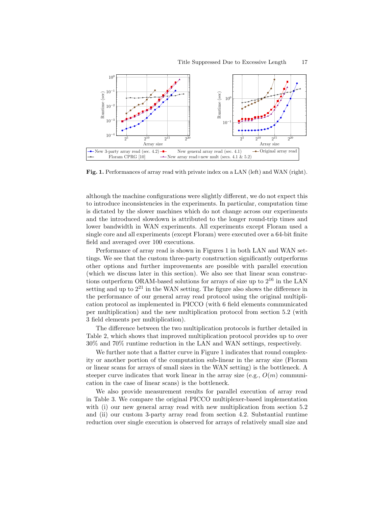

Fig. 1. Performances of array read with private index on a LAN (left) and WAN (right).

although the machine configurations were slightly different, we do not expect this to introduce inconsistencies in the experiments. In particular, computation time is dictated by the slower machines which do not change across our experiments and the introduced slowdown is attributed to the longer round-trip times and lower bandwidth in WAN experiments. All experiments except Floram used a single core and all experiments (except Floram) were executed over a 64-bit finite field and averaged over 100 executions.

Performance of array read is shown in Figures 1 in both LAN and WAN settings. We see that the custom three-party construction significantly outperforms other options and further improvements are possible with parallel execution (which we discuss later in this section). We also see that linear scan constructions outperform ORAM-based solutions for arrays of size up to  $2^{16}$  in the LAN setting and up to  $2^{21}$  in the WAN setting. The figure also shows the difference in the performance of our general array read protocol using the original multiplication protocol as implemented in PICCO (with 6 field elements communicated per multiplication) and the new multiplication protocol from section 5.2 (with 3 field elements per multiplication).

The difference between the two multiplication protocols is further detailed in Table 2, which shows that improved multiplication protocol provides up to over 30% and 70% runtime reduction in the LAN and WAN settings, respectively.

We further note that a flatter curve in Figure 1 indicates that round complexity or another portion of the computation sub-linear in the array size (Floram or linear scans for arrays of small sizes in the WAN setting) is the bottleneck. A steeper curve indicates that work linear in the array size (e.g.,  $O(m)$  communication in the case of linear scans) is the bottleneck.

We also provide measurement results for parallel execution of array read in Table 3. We compare the original PICCO multiplexer-based implementation with (i) our new general array read with new multiplication from section 5.2 and (ii) our custom 3-party array read from section 4.2. Substantial runtime reduction over single execution is observed for arrays of relatively small size and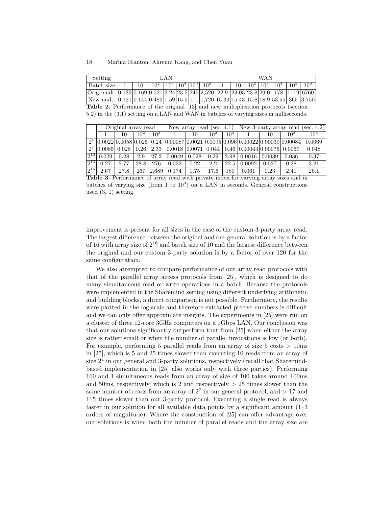18 Marina Blanton, Ahreum Kang, and Chen Yuan

| Setting                                                                                                                                                                                                                                  | LAN. |  |  |  |  |  | WA N |  |  |  |  |                                                                                                                                     |  |  |
|------------------------------------------------------------------------------------------------------------------------------------------------------------------------------------------------------------------------------------------|------|--|--|--|--|--|------|--|--|--|--|-------------------------------------------------------------------------------------------------------------------------------------|--|--|
| Batch size                                                                                                                                                                                                                               |      |  |  |  |  |  |      |  |  |  |  | $10\ \mid 10^2\ \mid 10^3\ \mid 10^4\ \mid 10^5\ \mid 10^6\ \mid 1\ \mid 10\ \mid 10^2\ \mid 10^3\ \mid 10^4\ \mid 10^5\ \mid 10^6$ |  |  |
| $\left  \text{Orig. mult.} \right  0.139 \left  0.169 \left  0.521 \right  2.24 \left  23.5 \left  246 \right  2.520 \right  22.9 \left  23.03 \left  23.8 \right  29.0 \right  178 \left  1119 \left  6760 \right  23.0 \right  100000$ |      |  |  |  |  |  |      |  |  |  |  |                                                                                                                                     |  |  |
| New mult. $[0.121] 0.144 [0.482] 1.59] 15.5 [170] 1,720] 15.39] 15.43] 15.8] 18.9] 53.55] 365] 3,750]$                                                                                                                                   |      |  |  |  |  |  |      |  |  |  |  |                                                                                                                                     |  |  |
| <b>Table 2.</b> Performance of the original [13] and new multiplication protocols (section                                                                                                                                               |      |  |  |  |  |  |      |  |  |  |  |                                                                                                                                     |  |  |

5.2) in the (3,1) setting on a LAN and WAN in batches of varying sizes in milliseconds.

|            |                                                                                      | Original array read |        |        |                      |      |        |        | New array read (sec. 4.1) New 3-party array read (sec. 4.2)   |       |                                                                                                       |        |  |
|------------|--------------------------------------------------------------------------------------|---------------------|--------|--------|----------------------|------|--------|--------|---------------------------------------------------------------|-------|-------------------------------------------------------------------------------------------------------|--------|--|
|            |                                                                                      | 10                  | $10^2$ | $10^3$ |                      | 10   | $10^2$ | $10^3$ |                                                               | 10    | $10^{2}$                                                                                              | $10^3$ |  |
|            |                                                                                      |                     |        |        |                      |      |        |        |                                                               |       | $24$ [0.0022] 0.0058 [0.025] 0.24 [0.00087] 0.0021 [0.0095] 0.0003 [0.00022] 0.00039 [0.00084] 0.0069 |        |  |
|            |                                                                                      |                     |        |        |                      |      |        |        |                                                               |       | $2^7$ 0.0085 0.028 0.26 2.33 0.0018 0.0071 0.044 0.46 0.00043 0.00075 0.0057                          | 0.048  |  |
|            | $2^{10}$ 0.029                                                                       | 0.28                |        |        |                      |      |        |        | $2.9$   27.2   0.0049   0.028   0.29   2.98   0.0016   0.0039 |       | 0.036                                                                                                 | 0.37   |  |
| $ 2^{13} $ | 0.27                                                                                 | 2.77                |        |        | $28.8$   276   0.022 | 0.22 | 2.2    |        | $22.5 \mid 0.0092 \mid$                                       | 0.027 | 0.28                                                                                                  | 3.21   |  |
| $2^{16}$   | 2.67                                                                                 | 27.8                |        |        | $267$ 2.689 0.174    | 1.75 | -17.6  | 180    | 0.061                                                         | 0.23  | 2.41                                                                                                  | 26.1   |  |
|            | Table 3. Performance of array read with private index for varying array sizes and in |                     |        |        |                      |      |        |        |                                                               |       |                                                                                                       |        |  |

batches of varying size (from 1 to  $10<sup>3</sup>$ ) on a LAN in seconds. General constructions used  $(3, 1)$  setting.

improvement is present for all sizes in the case of the custom 3-party array read. The largest difference between the original and our general solution is by a factor of 16 with array size of  $2^{16}$  and batch size of 10 and the largest difference between the original and our custom 3-party solution is by a factor of over 120 for the same configuration.

We also attempted to compare performance of our array read protocols with that of the parallel array access protocols from [25], which is designed to do many simultaneous read or write operations in a batch. Because the protocols were implemented in the Sharemind setting using different underlying arithmetic and building blocks, a direct comparison is not possible. Furthermore, the results were plotted in the log-scale and therefore extracted precise numbers is difficult and we can only offer approximate insights. The experiments in [25] were run on a cluster of three 12-core 3GHz computers on a 1Gbps LAN. Our conclusion was that our solutions significantly outperform that from [25] when either the array size is rather small or when the number of parallel invocations is low (or both). For example, performing 5 parallel reads from an array of size  $5 \text{ costs} > 10 \text{ms}$ in [25], which is 5 and 25 times slower than executing 10 reads from an array of size  $2<sup>4</sup>$  in our general and 3-party solutions, respectively (recall that Sharemindbased implementation in [25] also works only with three parties). Performing 100 and 1 simultaneous reads from an array of size of 100 takes around 100ms and 50ms, respectively, which is 2 and respectively  $> 25$  times slower than the same number of reads from an array of  $2<sup>7</sup>$  in our general protocol, and  $> 17$  and 115 times slower than our 3-party protocol. Executing a single read is always faster in our solution for all available data points by a significant amount (1–3 orders of magnitude). Where the construction of [25] can offer advantage over our solutions is when both the number of parallel reads and the array size are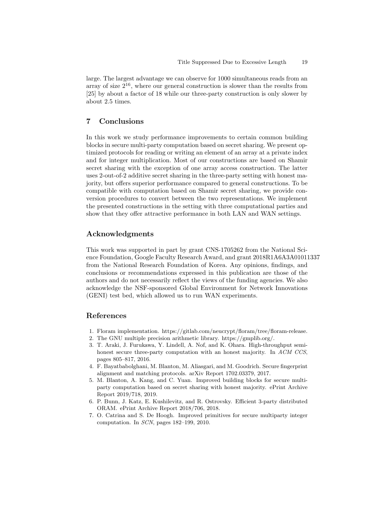large. The largest advantage we can observe for 1000 simultaneous reads from an array of size 216, where our general construction is slower than the results from [25] by about a factor of 18 while our three-party construction is only slower by about 2.5 times.

# 7 Conclusions

In this work we study performance improvements to certain common building blocks in secure multi-party computation based on secret sharing. We present optimized protocols for reading or writing an element of an array at a private index and for integer multiplication. Most of our constructions are based on Shamir secret sharing with the exception of one array access construction. The latter uses 2-out-of-2 additive secret sharing in the three-party setting with honest majority, but offers superior performance compared to general constructions. To be compatible with computation based on Shamir secret sharing, we provide conversion procedures to convert between the two representations. We implement the presented constructions in the setting with three computational parties and show that they offer attractive performance in both LAN and WAN settings.

# Acknowledgments

This work was supported in part by grant CNS-1705262 from the National Science Foundation, Google Faculty Research Award, and grant 2018R1A6A3A01011337 from the National Research Foundation of Korea. Any opinions, findings, and conclusions or recommendations expressed in this publication are those of the authors and do not necessarily reflect the views of the funding agencies. We also acknowledge the NSF-sponsored Global Environment for Network Innovations (GENI) test bed, which allowed us to run WAN experiments.

# References

- 1. Floram implementation. https://gitlab.com/neucrypt/floram/tree/floram-release.
- 2. The GNU multiple precision arithmetic library. https://gmplib.org/.
- 3. T. Araki, J. Furukawa, Y. Lindell, A. Nof, and K. Ohara. High-throughput semihonest secure three-party computation with an honest majority. In ACM CCS, pages 805–817, 2016.
- 4. F. Bayatbabolghani, M. Blanton, M. Aliasgari, and M. Goodrich. Secure fingerprint alignment and matching protocols. arXiv Report 1702.03379, 2017.
- 5. M. Blanton, A. Kang, and C. Yuan. Improved building blocks for secure multiparty computation based on secret sharing with honest majority. ePrint Archive Report 2019/718, 2019.
- 6. P. Bunn, J. Katz, E. Kushilevitz, and R. Ostrovsky. Efficient 3-party distributed ORAM. ePrint Archive Report 2018/706, 2018.
- 7. O. Catrina and S. De Hoogh. Improved primitives for secure multiparty integer computation. In SCN, pages 182–199, 2010.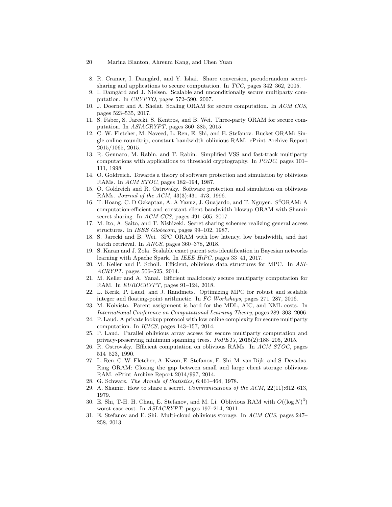- 20 Marina Blanton, Ahreum Kang, and Chen Yuan
- 8. R. Cramer, I. Damgård, and Y. Ishai. Share conversion, pseudorandom secretsharing and applications to secure computation. In TCC, pages 342–362, 2005.
- 9. I. Damgård and J. Nielsen. Scalable and unconditionally secure multiparty computation. In CRYPTO, pages 572–590, 2007.
- 10. J. Doerner and A. Shelat. Scaling ORAM for secure computation. In ACM CCS, pages 523–535, 2017.
- 11. S. Faber, S. Jarecki, S. Kentros, and B. Wei. Three-party ORAM for secure computation. In ASIACRYPT, pages 360–385, 2015.
- 12. C. W. Fletcher, M. Naveed, L. Ren, E. Shi, and E. Stefanov. Bucket ORAM: Single online roundtrip, constant bandwidth oblivious RAM. ePrint Archive Report 2015/1065, 2015.
- 13. R. Gennaro, M. Rabin, and T. Rabin. Simplified VSS and fast-track multiparty computations with applications to threshold cryptography. In PODC, pages 101– 111, 1998.
- 14. O. Goldreich. Towards a theory of software protection and simulation by oblivious RAMs. In ACM STOC, pages 182–194, 1987.
- 15. O. Goldreich and R. Ostrovsky. Software protection and simulation on oblivious RAMs. Journal of the ACM, 43(3):431–473, 1996.
- 16. T. Hoang, C. D Ozkaptan, A. A Yavuz, J. Guajardo, and T. Nguyen.  $S^3$ ORAM: A computation-efficient and constant client bandwidth blowup ORAM with Shamir secret sharing. In *ACM CCS*, pages 491–505, 2017.
- 17. M. Ito, A. Saito, and T. Nishizeki. Secret sharing schemes realizing general access structures. In IEEE Globecom, pages 99–102, 1987.
- 18. S. Jarecki and B. Wei. 3PC ORAM with low latency, low bandwidth, and fast batch retrieval. In ANCS, pages 360–378, 2018.
- 19. S. Karan and J. Zola. Scalable exact parent sets identification in Bayesian networks learning with Apache Spark. In IEEE HiPC, pages 33–41, 2017.
- 20. M. Keller and P. Scholl. Efficient, oblivious data structures for MPC. In ASI-ACRYPT, pages 506–525, 2014.
- 21. M. Keller and A. Yanai. Efficient maliciously secure multiparty computation for RAM. In EUROCRYPT, pages 91–124, 2018.
- 22. L. Kerik, P. Laud, and J. Randmets. Optimizing MPC for robust and scalable integer and floating-point arithmetic. In FC Workshops, pages 271–287, 2016.
- 23. M. Koivisto. Parent assignment is hard for the MDL, AIC, and NML costs. In International Conference on Computational Learning Theory, pages 289–303, 2006.
- 24. P. Laud. A private lookup protocol with low online complexity for secure multiparty computation. In ICICS, pages 143–157, 2014.
- 25. P. Laud. Parallel oblivious array access for secure multiparty computation and privacy-preserving minimum spanning trees. PoPETs, 2015(2):188–205, 2015.
- 26. R. Ostrovsky. Efficient computation on oblivious RAMs. In ACM STOC, pages 514–523, 1990.
- 27. L. Ren, C. W. Fletcher, A. Kwon, E. Stefanov, E. Shi, M. van Dijk, and S. Devadas. Ring ORAM: Closing the gap between small and large client storage oblivious RAM. ePrint Archive Report 2014/997, 2014.
- 28. G. Schwarz. The Annals of Statistics, 6:461–464, 1978.
- 29. A. Shamir. How to share a secret. Communications of the ACM, 22(11):612–613, 1979.
- 30. E. Shi, T-H. H. Chan, E. Stefanov, and M. Li. Oblivious RAM with  $O((\log N)^3)$ worst-case cost. In ASIACRYPT, pages 197–214, 2011.
- 31. E. Stefanov and E. Shi. Multi-cloud oblivious storage. In ACM CCS, pages 247– 258, 2013.